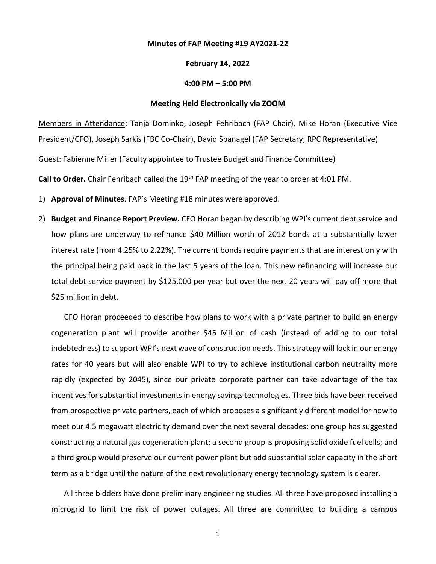## **Minutes of FAP Meeting #19 AY2021-22**

## **February 14, 2022**

## **4:00 PM – 5:00 PM**

## **Meeting Held Electronically via ZOOM**

Members in Attendance: Tanja Dominko, Joseph Fehribach (FAP Chair), Mike Horan (Executive Vice President/CFO), Joseph Sarkis (FBC Co-Chair), David Spanagel (FAP Secretary; RPC Representative) Guest: Fabienne Miller (Faculty appointee to Trustee Budget and Finance Committee)

**Call to Order.** Chair Fehribach called the 19th FAP meeting of the year to order at 4:01 PM.

- 1) **Approval of Minutes**. FAP's Meeting #18 minutes were approved.
- 2) **Budget and Finance Report Preview.** CFO Horan began by describing WPI's current debt service and how plans are underway to refinance \$40 Million worth of 2012 bonds at a substantially lower interest rate (from 4.25% to 2.22%). The current bonds require payments that are interest only with the principal being paid back in the last 5 years of the loan. This new refinancing will increase our total debt service payment by \$125,000 per year but over the next 20 years will pay off more that \$25 million in debt.

CFO Horan proceeded to describe how plans to work with a private partner to build an energy cogeneration plant will provide another \$45 Million of cash (instead of adding to our total indebtedness) to support WPI's next wave of construction needs. This strategy will lock in our energy rates for 40 years but will also enable WPI to try to achieve institutional carbon neutrality more rapidly (expected by 2045), since our private corporate partner can take advantage of the tax incentives for substantial investments in energy savings technologies. Three bids have been received from prospective private partners, each of which proposes a significantly different model for how to meet our 4.5 megawatt electricity demand over the next several decades: one group has suggested constructing a natural gas cogeneration plant; a second group is proposing solid oxide fuel cells; and a third group would preserve our current power plant but add substantial solar capacity in the short term as a bridge until the nature of the next revolutionary energy technology system is clearer.

All three bidders have done preliminary engineering studies. All three have proposed installing a microgrid to limit the risk of power outages. All three are committed to building a campus

1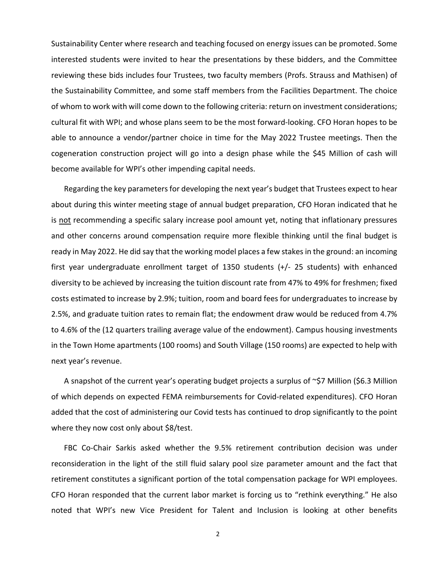Sustainability Center where research and teaching focused on energy issues can be promoted. Some interested students were invited to hear the presentations by these bidders, and the Committee reviewing these bids includes four Trustees, two faculty members (Profs. Strauss and Mathisen) of the Sustainability Committee, and some staff members from the Facilities Department. The choice of whom to work with will come down to the following criteria: return on investment considerations; cultural fit with WPI; and whose plans seem to be the most forward-looking. CFO Horan hopes to be able to announce a vendor/partner choice in time for the May 2022 Trustee meetings. Then the cogeneration construction project will go into a design phase while the \$45 Million of cash will become available for WPI's other impending capital needs.

Regarding the key parameters for developing the next year's budget that Trustees expect to hear about during this winter meeting stage of annual budget preparation, CFO Horan indicated that he is not recommending a specific salary increase pool amount yet, noting that inflationary pressures and other concerns around compensation require more flexible thinking until the final budget is ready in May 2022. He did say that the working model places a few stakes in the ground: an incoming first year undergraduate enrollment target of 1350 students (+/- 25 students) with enhanced diversity to be achieved by increasing the tuition discount rate from 47% to 49% for freshmen; fixed costs estimated to increase by 2.9%; tuition, room and board fees for undergraduates to increase by 2.5%, and graduate tuition rates to remain flat; the endowment draw would be reduced from 4.7% to 4.6% of the (12 quarters trailing average value of the endowment). Campus housing investments in the Town Home apartments (100 rooms) and South Village (150 rooms) are expected to help with next year's revenue.

A snapshot of the current year's operating budget projects a surplus of ~\$7 Million (\$6.3 Million of which depends on expected FEMA reimbursements for Covid-related expenditures). CFO Horan added that the cost of administering our Covid tests has continued to drop significantly to the point where they now cost only about \$8/test.

FBC Co-Chair Sarkis asked whether the 9.5% retirement contribution decision was under reconsideration in the light of the still fluid salary pool size parameter amount and the fact that retirement constitutes a significant portion of the total compensation package for WPI employees. CFO Horan responded that the current labor market is forcing us to "rethink everything." He also noted that WPI's new Vice President for Talent and Inclusion is looking at other benefits

2